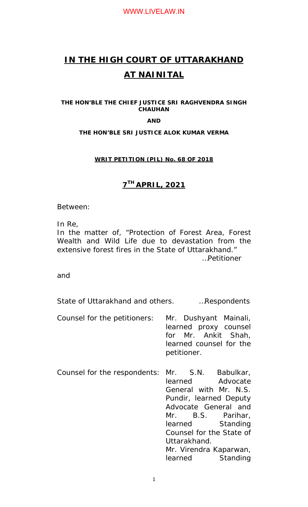# **IN THE HIGH COURT OF UTTARAKHAND AT NAINITAL**

**THE HON'BLE THE CHIEF JUSTICE SRI RAGHVENDRA SINGH CHAUHAN** 

**AND** 

## **THE HON'BLE SRI JUSTICE ALOK KUMAR VERMA**

## **WRIT PETITION (PIL) No. 68 OF 2018**

# **7TH APRIL, 2021**

Between:

In Re,

In the matter of, "Protection of Forest Area, Forest Wealth and Wild Life due to devastation from the extensive forest fires in the State of Uttarakhand." …Petitioner

and

State of Uttarakhand and others. …Respondents

- Counsel for the petitioners: Mr. Dushyant Mainali, learned proxy counsel for Mr. Ankit Shah, learned counsel for the petitioner.
- Counsel for the respondents: Mr. S.N. Babulkar, learned Advocate General with Mr. N.S. Pundir, learned Deputy Advocate General and Mr. B.S. Parihar, learned Standing Counsel for the State of Uttarakhand. Mr. Virendra Kaparwan, learned Standing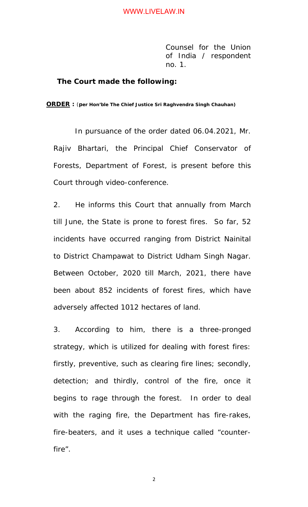Counsel for the Union of India / respondent no. 1.

#### **The Court made the following:**

**ORDER :** (**per Hon'ble The Chief Justice Sri Raghvendra Singh Chauhan)** 

In pursuance of the order dated 06.04.2021, Mr. Rajiv Bhartari, the Principal Chief Conservator of Forests, Department of Forest, is present before this Court through video-conference.

2. He informs this Court that annually from March till June, the State is prone to forest fires. So far, 52 incidents have occurred ranging from District Nainital to District Champawat to District Udham Singh Nagar. Between October, 2020 till March, 2021, there have been about 852 incidents of forest fires, which have adversely affected 1012 hectares of land.

3. According to him, there is a three-pronged strategy, which is utilized for dealing with forest fires: firstly, preventive, such as clearing fire lines; secondly, detection; and thirdly, control of the fire, once it begins to rage through the forest. In order to deal with the raging fire, the Department has fire-rakes, fire-beaters, and it uses a technique called "counterfire".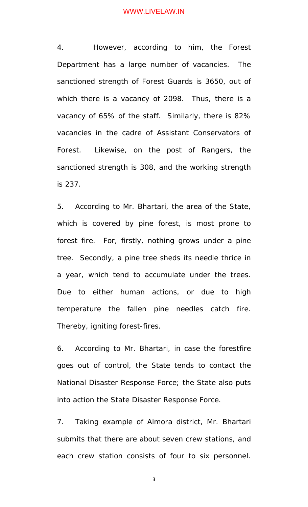4. However, according to him, the Forest Department has a large number of vacancies. The sanctioned strength of Forest Guards is 3650, out of which there is a vacancy of 2098. Thus, there is a vacancy of 65% of the staff. Similarly, there is 82% vacancies in the cadre of Assistant Conservators of Forest. Likewise, on the post of Rangers, the sanctioned strength is 308, and the working strength is 237.

5. According to Mr. Bhartari, the area of the State, which is covered by pine forest, is most prone to forest fire. For, firstly, nothing grows under a pine tree. Secondly, a pine tree sheds its needle thrice in a year, which tend to accumulate under the trees. Due to either human actions, or due to high temperature the fallen pine needles catch fire. Thereby, igniting forest-fires.

6. According to Mr. Bhartari, in case the forestfire goes out of control, the State tends to contact the National Disaster Response Force; the State also puts into action the State Disaster Response Force.

7. Taking example of Almora district, Mr. Bhartari submits that there are about seven crew stations, and each crew station consists of four to six personnel.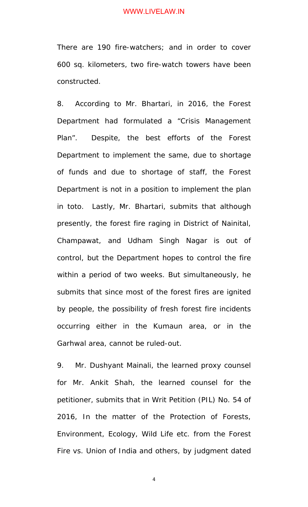There are 190 fire-watchers; and in order to cover 600 sq. kilometers, two fire-watch towers have been constructed.

8. According to Mr. Bhartari, in 2016, the Forest Department had formulated a "Crisis Management Plan". Despite, the best efforts of the Forest Department to implement the same, due to shortage of funds and due to shortage of staff, the Forest Department is not in a position to implement the plan in *toto*. Lastly, Mr. Bhartari, submits that although presently, the forest fire raging in District of Nainital, Champawat, and Udham Singh Nagar is out of control, but the Department hopes to control the fire within a period of two weeks. But simultaneously, he submits that since most of the forest fires are ignited by people, the possibility of fresh forest fire incidents occurring either in the Kumaun area, or in the Garhwal area, cannot be ruled-out.

9. Mr. Dushyant Mainali, the learned proxy counsel for Mr. Ankit Shah, the learned counsel for the petitioner, submits that in Writ Petition (PIL) No. 54 of 2016, In the matter of the Protection of Forests, Environment, Ecology, Wild Life etc. from the Forest Fire vs. Union of India and others, by judgment dated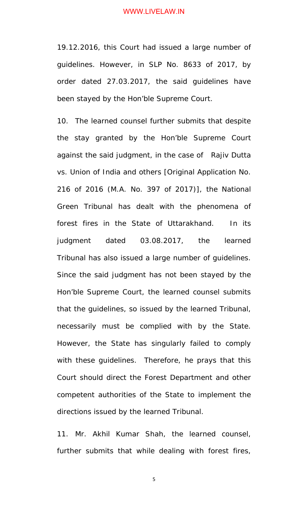19.12.2016, this Court had issued a large number of guidelines. However, in SLP No. 8633 of 2017, by order dated 27.03.2017, the said guidelines have been stayed by the Hon'ble Supreme Court.

10. The learned counsel further submits that despite the stay granted by the Hon'ble Supreme Court against the said judgment, in the case of Rajiv Dutta vs. Union of India and others [Original Application No. 216 of 2016 (M.A. No. 397 of 2017)], the National Green Tribunal has dealt with the phenomena of forest fires in the State of Uttarakhand. In its judgment dated 03.08.2017, the learned Tribunal has also issued a large number of guidelines. Since the said judgment has not been stayed by the Hon'ble Supreme Court, the learned counsel submits that the guidelines, so issued by the learned Tribunal, necessarily must be complied with by the State. However, the State has singularly failed to comply with these guidelines. Therefore, he prays that this Court should direct the Forest Department and other competent authorities of the State to implement the directions issued by the learned Tribunal.

11. Mr. Akhil Kumar Shah, the learned counsel, further submits that while dealing with forest fires,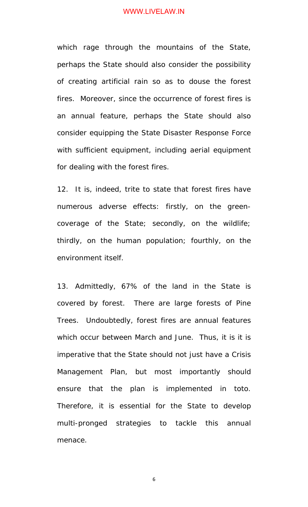which rage through the mountains of the State, perhaps the State should also consider the possibility of creating artificial rain so as to douse the forest fires. Moreover, since the occurrence of forest fires is an annual feature, perhaps the State should also consider equipping the State Disaster Response Force with sufficient equipment, including aerial equipment for dealing with the forest fires.

12. It is, indeed, trite to state that forest fires have numerous adverse effects: firstly, on the greencoverage of the State; secondly, on the wildlife; thirdly, on the human population; fourthly, on the environment itself.

13. Admittedly, 67% of the land in the State is covered by forest. There are large forests of Pine Trees. Undoubtedly, forest fires are annual features which occur between March and June. Thus, it is it is imperative that the State should not just have a Crisis Management Plan, but most importantly should ensure that the plan is implemented in *toto*. Therefore, it is essential for the State to develop multi-pronged strategies to tackle this annual menace.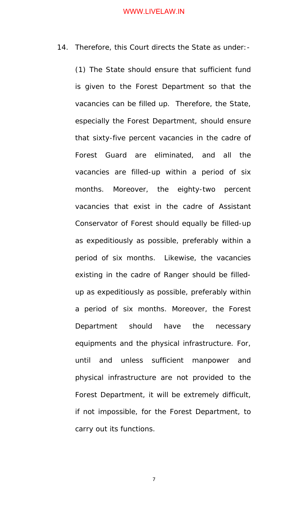14. Therefore, this Court directs the State as under:-

(1) The State should ensure that sufficient fund is given to the Forest Department so that the vacancies can be filled up. Therefore, the State, especially the Forest Department, should ensure that sixty-five percent vacancies in the cadre of Forest Guard are eliminated, and all the vacancies are filled-up within a period of six months. Moreover, the eighty-two percent vacancies that exist in the cadre of Assistant Conservator of Forest should equally be filled-up as expeditiously as possible, preferably within a period of six months. Likewise, the vacancies existing in the cadre of Ranger should be filledup as expeditiously as possible, preferably within a period of six months. Moreover, the Forest Department should have the necessary equipments and the physical infrastructure. For, until and unless sufficient manpower and physical infrastructure are not provided to the Forest Department, it will be extremely difficult, if not impossible, for the Forest Department, to carry out its functions.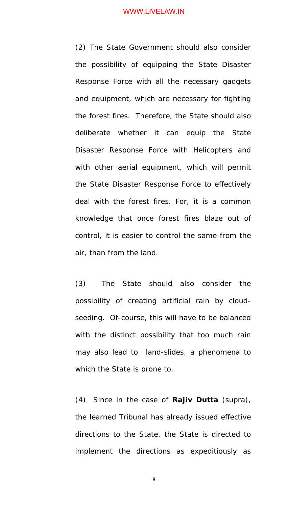(2) The State Government should also consider the possibility of equipping the State Disaster Response Force with all the necessary gadgets and equipment, which are necessary for fighting the forest fires. Therefore, the State should also deliberate whether it can equip the State Disaster Response Force with Helicopters and with other aerial equipment, which will permit the State Disaster Response Force to effectively deal with the forest fires. For, it is a common knowledge that once forest fires blaze out of control, it is easier to control the same from the air, than from the land.

(3) The State should also consider the possibility of creating artificial rain by cloudseeding. Of-course, this will have to be balanced with the distinct possibility that too much rain may also lead to land-slides, a phenomena to which the State is prone to.

(4) Since in the case of **Rajiv Dutta** (supra), the learned Tribunal has already issued effective directions to the State, the State is directed to implement the directions as expeditiously as